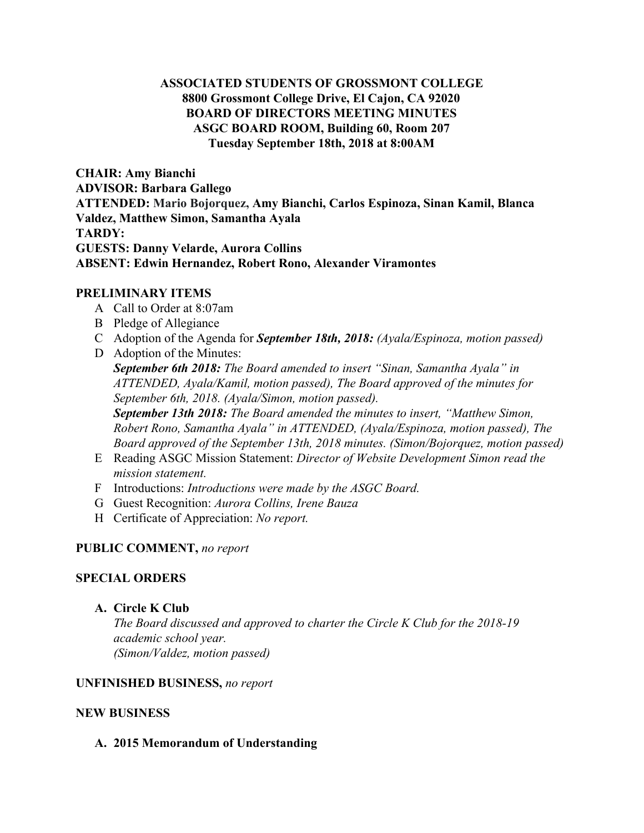# **ASSOCIATED STUDENTS OF GROSSMONT COLLEGE 8800 Grossmont College Drive, El Cajon, CA 92020 BOARD OF DIRECTORS MEETING MINUTES ASGC BOARD ROOM, Building 60, Room 207 Tuesday September 18th, 2018 at 8:00AM**

**CHAIR: Amy Bianchi ADVISOR: Barbara Gallego ATTENDED: Mario Bojorquez, Amy Bianchi, Carlos Espinoza, Sinan Kamil, Blanca Valdez, Matthew Simon, Samantha Ayala TARDY: GUESTS: Danny Velarde, Aurora Collins ABSENT: Edwin Hernandez, Robert Rono, Alexander Viramontes**

## **PRELIMINARY ITEMS**

- A Call to Order at 8:07am
- B Pledge of Allegiance
- C Adoption of the Agenda for *September 18th, 2018: (Ayala/Espinoza, motion passed)*
- D Adoption of the Minutes: *September 6th 2018: The Board amended to insert "Sinan, Samantha Ayala" in ATTENDED, Ayala/Kamil, motion passed), The Board approved of the minutes for September 6th, 2018. (Ayala/Simon, motion passed). September 13th 2018: The Board amended the minutes to insert, "Matthew Simon, Robert Rono, Samantha Ayala" in ATTENDED, (Ayala/Espinoza, motion passed), The Board approved of the September 13th, 2018 minutes. (Simon/Bojorquez, motion passed)*
- E Reading ASGC Mission Statement: *Director of Website Development Simon read the mission statement.*
- F Introductions: *Introductions were made by the ASGC Board.*
- G Guest Recognition: *Aurora Collins, Irene Bauza*
- H Certificate of Appreciation: *No report.*

## **PUBLIC COMMENT,** *no report*

## **SPECIAL ORDERS**

## **A. Circle K Club**

*The Board discussed and approved to charter the Circle K Club for the 2018-19 academic school year. (Simon/Valdez, motion passed)*

## **UNFINISHED BUSINESS,** *no report*

## **NEW BUSINESS**

## **A. 2015 Memorandum of Understanding**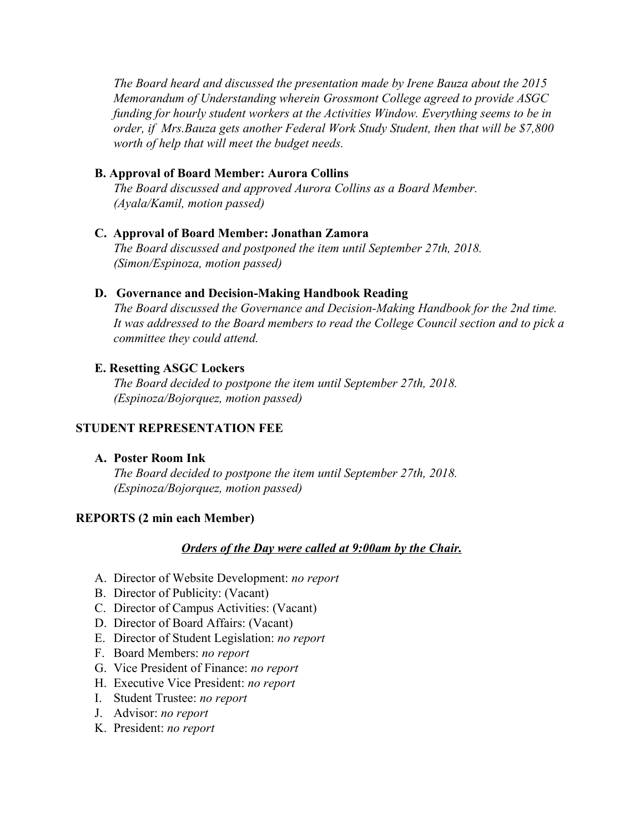*The Board heard and discussed the presentation made by Irene Bauza about the 2015 Memorandum of Understanding wherein Grossmont College agreed to provide ASGC funding for hourly student workers at the Activities Window. Everything seems to be in order, if Mrs.Bauza gets another Federal Work Study Student, then that will be \$7,800 worth of help that will meet the budget needs.*

## **B. Approval of Board Member: Aurora Collins**

*The Board discussed and approved Aurora Collins as a Board Member. (Ayala/Kamil, motion passed)*

## **C.****Approval of Board Member: Jonathan Zamora**

*The Board discussed and postponed the item until September 27th, 2018. (Simon/Espinoza, motion passed)*

## **D. Governance and Decision-Making Handbook Reading**

*The Board discussed the Governance and Decision-Making Handbook for the 2nd time. It was addressed to the Board members to read the College Council section and to pick a committee they could attend.*

## **E. Resetting ASGC Lockers**

*The Board decided to postpone the item until September 27th, 2018. (Espinoza/Bojorquez, motion passed)*

# **STUDENT REPRESENTATION FEE**

## **A. Poster Room Ink**

*The Board decided to postpone the item until September 27th, 2018. (Espinoza/Bojorquez, motion passed)*

# **REPORTS (2 min each Member)**

## *Orders of the Day were called at 9:00am by the Chair.*

- A. Director of Website Development: *no report*
- B. Director of Publicity: (Vacant)
- C. Director of Campus Activities: (Vacant)
- D. Director of Board Affairs: (Vacant)
- E. Director of Student Legislation: *no report*
- F. Board Members: *no report*
- G. Vice President of Finance: *no report*
- H. Executive Vice President: *no report*
- I. Student Trustee: *no report*
- J. Advisor: *no report*
- K. President: *no report*